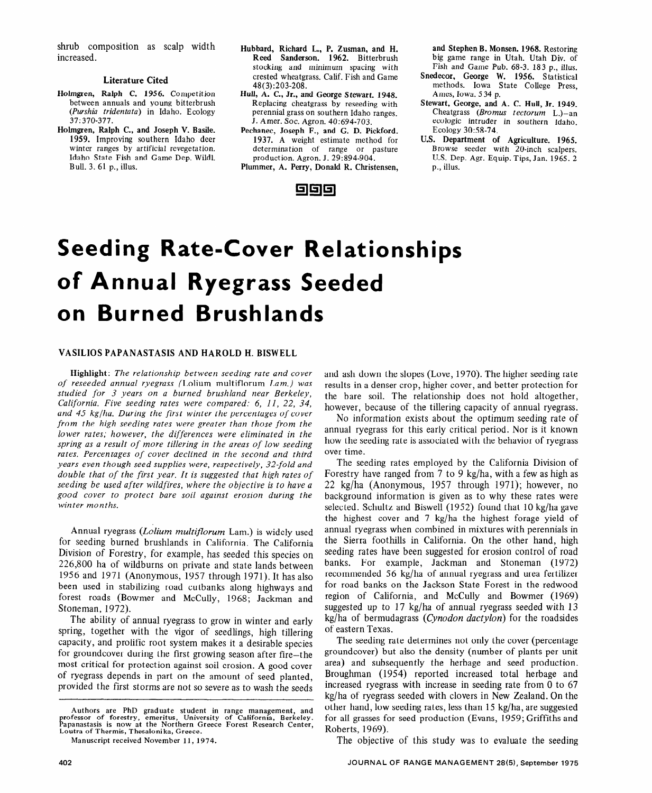# **Seeding Rate-Cover Relationships of Annual Ryegrass Seeded on Burned Brushlands**

## VASILIOS PAPANASTASIS AND HAROLD H. BISWELL

Highlight: *The relationship between seeding rate and cover of reseeded annual ryegrass* (Lolium multiflorum *Lam.) was studied for 3 years on a burned brushland near Berkeley, California. Five seeding rates were compared: 6, 11, 22, 34,*  and 45 kg/ha. During the first winter the percentages of cover *from the high seeding rates were greater than those from the lower rates; however, the differences were eliminated in the spring as a result of more tillering in the areas of low seeding*  rates. Percentages of cover declined in the second and third *years even though seed supplies were, respectively, 32-fold and double that of the first year. It is suggested that high rates of seeding be used after wildfires, where the objective is to have a good cover to protect bare soil against erosion during the winter months.* 

Annual ryegrass (Lolium multiflorum Lam.) is widely used for seeding burned brushlands in California. The California Division of Forestry, for example, has seeded this species on 226,800 ha of wildburns on private and state lands between 1956 and 1971 (Anonymous, 1957 through 1971). It has also been used in stabilizing road cutbanks along highways and forest roads (Bowmer and McCully, 1968; Jackman and Stoneman, 1972).

The ability of annual ryegrass to grow in winter and early spring, together with the vigor of seedlings, high tillering capacity, and prolific root system makes it a desirable species for groundcover during the first growing season after fire-the most critical for protection against soil erosion. A good cover of ryegrass depends in part on the amount of seed planted, provided the first storms are not so severe as to wash the seeds and ash down the slopes (Love, 1970). The higher seeding rate results in a denser crop, higher cover, and better protection for the bare soil. The relationship does not hold altogether, however, because of the tillering capacity of annual ryegrass.

No information exists about the optimum seeding rate of annual ryegrass for this early critical period. Nor is it known how the seeding rate is associated with the behavior of ryegrass over time.

The seeding rates employed by the California Division of Forestry have ranged from 7 to 9 kg/ha, with a few as high as 22 kg/ha (Anonymous, 1957 through 1971); however, no background information is given as to why these rates were selected. Schultz and Biswell (1952) found that 10 kg/ha gave the highest cover and 7 kg/ha the highest forage yield of annual ryegrass when combined in mixtures with perennials in the Sierra foothills in California. On the other hand, high seeding rates have been suggested for erosion control of road banks. For example, Jackman and Stoneman (1972) recommended 56 kg/ha of annual ryegrass and urea fertilizer for road banks on the Jackson State Forest in the redwood region of California, and McCully and Bowmer (1969) suggested up to 17 kg/ha of annual ryegrass seeded with 13 kg/ha of bermudagrass *(Cynodon dactylon)* for the roadsides of eastern Texas.

The seeding rate determines not only the cover (percentage groundcover) but also the density (number of plants per unit area) and subsequently the herbage and seed production. Broughman (1954) reported increased total herbage and increased ryegrass with increase in seeding rate from 0 to 67 kg/ha of ryegrass seeded with clovers in New Zealand. On the other hand, low seeding rates, less than 15 kg/ha, are suggested for all grasses for seed production (Evans, 1959; Griffiths and Roberts, 1969).

The objective of this study was to evaluate the seeding

**Authors are PhD graduate student in range management, and professor of forestry, emeritus, University of California, Berkeley. Papanastasis is now at the Northern Greece Forest Research Center, Loutra of Thermis, Thesalonika, Greece.** 

**Manuscript received November 11, 1974.**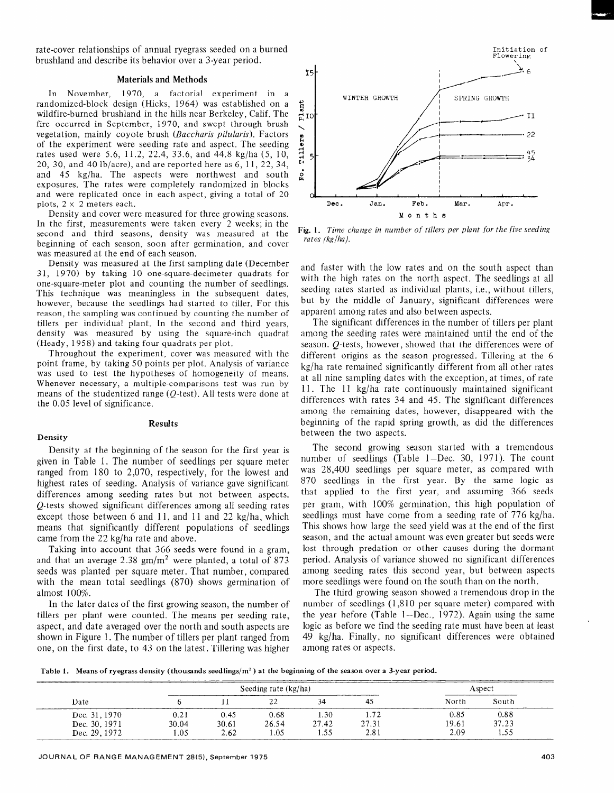rate-cover relationships of annual ryegrass seeded on a burned brushland and describe its behavior over a 3-year period.

#### Materials and Methods

In November, 1970, a factorial experiment in a randomized-block design (Hicks, 1964) was established on a wildfire-burned brushland in the hills near Berkeley, Calif. The fire occurred in September, 1970, and swept through brush vegetation, mainly coyote brush (Bacchavis *pilularis).* Factors of the experiment were seeding rate and aspect. The seeding rates used were 5.6, 11.2, 22.4, 33.6, and 44.8 kg/ha (5, 10, 20, 30, and 40 lb/acre), and are reported here as 6, 11, 22, 34, and 45 kg/ha. The aspects were northwest and south exposures. The rates were completely randomized in blocks and were replicated once in each aspect, giving a total of 20 plots,  $2 \times 2$  meters each.

Density and cover were measured for three growing seasons. In the first, measurements were taken every 2 weeks; in the second and third seasons, density was measured at the beginning of each season, soon after germination, and cover was measured at the end of each season.

Density was measured at the first sampling date (December 3 1, 1970) by taking 10 one-square-decimeter quadrats for one-square-meter plot and counting the number of seedlings. This technique was meaningless in the subsequent dates, however, because the seedlings had started to tiller. For this reason, the sampling was continued by counting the number of tillers per individual plant. In the second and third years, density was measured by using the square-inch quadrat (Heady, 1958) and taking four quadrats per plot.

Throughout the experiment, cover was measured with the point frame, by taking 50 points per plot. Analysis of variance was used to test the hypotheses of homogeneity of means. Whenever necessary, a multiple-comparisons test was run by means of the studentized range (Q-test). All tests were done at the 0.05 level of significance.

#### **Density**

# Results

Density at the beginning of the season for the first year is given in Table 1. The number of seedlings per square meter ranged from 180 to 2,070, respectively, for the lowest and highest rates of seeding. Analysis of variance gave significant differences among seeding rates but not between aspects. Q-tests showed significant differences among all seeding rates except those between 6 and 11, and 11 and 22 kg/ha, which means that significantly different populations of seedlings came from the 22 kg/ha rate and above.

Taking into account that 366 seeds were found in a gram, and that an average 2.38  $\text{gm/m}^2$  were planted, a total of 873 seeds was planted per square meter. That number, compared with the mean total seedlings (870) shows germination of almost 100%.

In the later dates of the first growing season, the number of tillers per plant were counted. The means per seeding rate, aspect, and date averaged over the north and south aspects are shown in Figure 1. The number of tillers per plant ranged from one, on the first date, to 43 on the latest. Tillering was higher



Fig. 1. *Time change in number of tillers per plant for the five seeding rates (kg/ha).* 

and faster with the low rates and on the south aspect than with the high rates on the north aspect. The seedlings at all seeding rates started as individual plants, i.e., without tillers, but by the middle of January, significant differences were apparent among rates and also between aspects.

The significant differences in the number of tillers per plant among the seeding rates were maintained until the end of the season. Q-tests, however, showed that the differences were of different origins as the season progressed. Tillering at the 6 kg/ha rate remained significantly different from all other rates at all nine sampling dates with the exception, at times, of rate 11. The 11 kg/ha rate continuously maintained significant differences with rates 34 and 45. The significant differences among the remaining dates, however, disappeared with the beginning of the rapid spring growth, as did the differences between the two aspects.

The second growing season started with a tremendous number of seedlings (Table 1-Dec. 30, 1971). The count was 28,400 seedlings per square meter, as compared with 870 seedlings in the first year. By the same logic as that applied to the first year, and assuming 366 seeds per gram, with 100% germination, this high population of seedlings must have come from a seeding rate of 776 kg/ha. This shows how large the seed yield was at the end of the first season, and the actual amount was even greater but seeds were lost through predation or other causes during the dormant period. Analysis of variance showed no significant differences among seeding rates this second year, but between aspects more seedlings were found on the south than on the north.

The third growing season showed a tremendous drop in the number of seedlings (1,810 per square meter) compared with the year before (Table 1-Dec., 1972). Again using the same logic as before we find the seeding rate must have been at least 49 kg/ha. Finally, no significant differences were obtained among rates or aspects.

Table 1. Means of ryegrass density (thousands seedlings/ $m<sup>2</sup>$ ) at the beginning of the season over a 3-year period.

| _________<br>Date |       | Seeding rate (kg/ha) | Aspect     |       |       |       |       |
|-------------------|-------|----------------------|------------|-------|-------|-------|-------|
|                   |       |                      | <u> 22</u> |       | 42    | North | South |
| Dec. 31, 1970     | 0.21  | 0.45                 | 0.68       | 1.30  | 1.72  | 0.85  | 0.88  |
| Dec. 30, 1971     | 30.04 | 30.61                | 26.54      | 27.42 | 27.31 | 19.61 | 2722  |
| Dec. 29, 1972     | 1.05  | 2.62                 | 1.05       | 1.55  | 2.81  | 2.09  | ں سد  |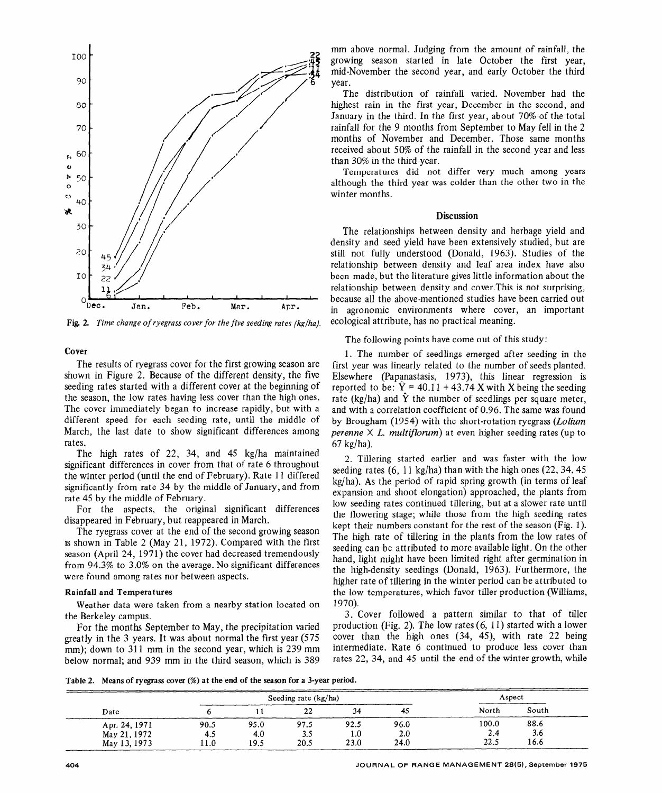

Fig. 2. *Time change of ryegrass cover for the five seeding rates (kg/ha).* 

## **Cover**

The results of ryegrass cover for the first growing season are shown in Figure 2. Because of the different density, the five seeding rates started with a different cover at the beginning of the season, the low rates having less cover than the high ones. The cover immediately began to increase rapidly, but with a different speed for each seeding rate, until the middle of March, the last date to show significant differences among rates.

The high rates of 22, 34, and 45 kg/ha maintained significant differences in cover from that of rate 6 throughout the winter period (until the end of February). Rate 11 differed significantly from rate 34 by the middle of January, and from rate 45 by the middle of February.

For the aspects, the original significant differences disappeared in February, but reappeared in March.

The ryegrass cover at the end of the second growing season is shown in Table 2 (May 21, 1972). Compared with the first season (April 24, 1971) the cover had decreased tremendously from 94.3% to 3.0% on the average. No significant differences were found among rates nor between aspects.

#### Rainfall and Temperatures

Weather data were taken from a nearby station located on the Berkeley campus.

For the months September to May, the precipitation varied greatly in the 3 years. It was about normal the first year (575 mm); down to 311 mm in the second year, which is 239 mm below normal; and 939 mm in the third season, which is 389 mm above normal. Judging from the amount of rainfall, the growing season started in late October the first year, mid-November the second year, and early October the third year.

The distribution of rainfall varied. November had the highest rain in the first year, December in the second, and January in the third. In the first year, about 70% of the total rainfall for the 9 months from September to May fell in the 2 months of November and December. Those same months received about 50% of the rainfall in the second year and less than 30% in the third year.

Temperatures did not differ very much among years although the third year was colder than the other two in the winter months.

#### **Discussion**

The relationships between density and herbage yield and density and seed yield have been extensively studied, but are still not fully understood (Donald, 1963). Studies of the relationship between density and leaf area index have also been made, but the literature gives little information about the relationship between density and cover.This is not surprising, because all the above-mentioned studies have been carried out in agronomic environments where cover, an important ecological attribute, has no practical meaning.

The following points have come out of this study:

1. The number of seedlings emerged after seeding in the first year was linearly related to the number of seeds planted. Elsewhere (Papanastasis, 1973), this linear regression is reported to be:  $\hat{Y}$  = 40.11 + 43.74 X with X being the seeding rate (kg/ha) and  $\hat{Y}$  the number of seedlings per square meter, and with a correlation coefficient of 0.96. The same was found by Brougham (1954) with the short-rotation ryegrass *(Lolium perenne*  $\times$  *L. multiflorum*) at even higher seeding rates (up to 67 kg/ha).

2. Tillering started earlier and was faster with the low seeding rates  $(6, 11 \text{ kg/ha})$  than with the high ones  $(22, 34, 45)$ kg/ha). As the period of rapid spring growth (in terms of leaf expansion and shoot elongation) approached, the plants from low seeding rates continued tillering, but at a slower rate until the flowering stage; while those from the high seeding rates kept their numbers constant for the rest of the season (Fig. 1). The high rate of tillering in the plants from the low rates of seeding can be attributed to more available light. On the other hand, light might have been limited right after germination in the high-density seedings (Donald, 1963). Furthermore, the higher rate of tillering in the winter period can be attributed to the low temperatures, which favor tiller production (Williams, 1970).

3. Cover followed a pattern similar to that of tiller production (Fig. 2). The low rates (6, 11) started with a lower cover than the high ones (34, 45), with rate 22 being intermediate. Rate 6 continued to produce less cover than rates 22, 34, and 45 until the end of the winter growth, while

Table 2. Means **of** ryegrass cover (%) **at the end of the season for a 3-year period.** 

|               |      | Seeding rate $(kg/ha)$ | Aspect   |      |      |       |       |
|---------------|------|------------------------|----------|------|------|-------|-------|
| Date          |      |                        | າາ<br>44 | 34   | 45   | North | South |
| Apr. 24, 1971 | 90.5 | 95.0                   | 97.5     | 92.5 | 96.0 | 100.0 | 88.6  |
| May 21, 1972  | 4.5  | 4.0                    | 3.5      | 1.0  | 2.0  | 2.4   | 3.6   |
| May 13, 1973  | 11.0 | 19.5                   | 20.5     | 23.0 | 24.0 | 22.5  | 16.6  |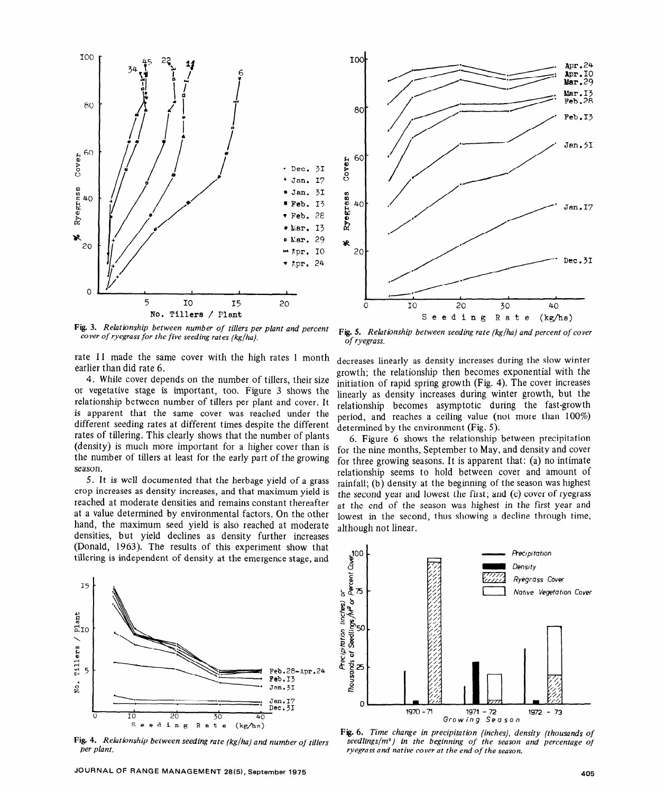

Fig. 3. *Relationship between number of tillers per plant and percent cover of ryegrass for the five seeding rates (kg/ha).* 

rate 11 made the same cover with the high rates 1 month earlier than did rate 6.

4. While cover depends on the number of tillers, their size or vegetative stage is important, too. Figure 3 shows the relationship between number of tillers per plant and cover. It is apparent that the same cover was reached under the different seeding rates at different times despite the different rates of tillering. This clearly shows that the number of plants (density) is much more important for a higher cover than is the number of tillers at least for the early part of the growing season.

5. It is well documented that the herbage yield of a grass crop increases as density increases, and that maximum yield is reached at moderate densities and remains constant thereafter at a value determined by environmental factors. On the other hand, the maximum seed yield is also reached at moderate densities, but yield declines as density further increases (Donald, 1963). The results of this experiment show that tillering is independent of density at the emergence stage, and



*Fig. 4. Relationship between seeding rate (kg/ha) and number of tillers per plant.* 



Fig. 5. *Relatianship between seeding rate (kg/ha) and percent of cover of ryegrass.* 

decreases linearly as density increases during the slow winter growth; the relationship then becomes exponential with the initiation of rapid spring growth (Fig. 4). The cover increases linearly as density increases during winter growth, but the relationship becomes asymptotic during the fast-growth period, and reaches a ceiling value (not more than 100%) determined by the environment (Fig. 5).

6. Figure 6 shows the relationship between precipitation for the nine months, September to May, and density and cover for three growing seasons. It is apparent that: (a) no intimate relationship seems to hold between cover and amount of rainfall; (b) density at the beginning of the season was highest the second year and lowest the first; and (c) cover of ryegrass at the end of the season was highest in the first year and lowest in the second, thus showing a decline through time, although not linear.



*Fig. 6. Time change in precipitation (inches), density (thousands of seedlings/m2) in the beginning of the season and percentage of ryegrass and native cover at the end of the season.*